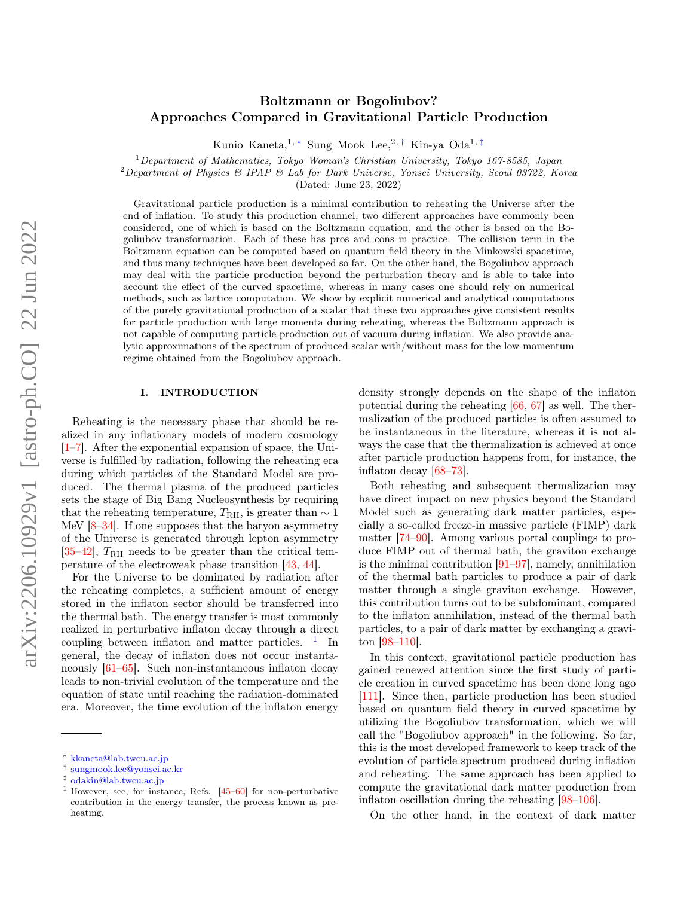## Boltzmann or Bogoliubov? Approaches Compared in Gravitational Particle Production

Kunio Kaneta,<sup>1,\*</sup> Sung Mook Lee,<sup>2,[†](#page-0-1)</sup> Kin-ya Oda<sup>1,[‡](#page-0-2)</sup>

 $1$ Department of Mathematics, Tokyo Woman's Christian University, Tokyo 167-8585, Japan

<sup>2</sup>Department of Physics & IPAP & Lab for Dark Universe, Yonsei University, Seoul 03722, Korea

(Dated: June 23, 2022)

Gravitational particle production is a minimal contribution to reheating the Universe after the end of inflation. To study this production channel, two different approaches have commonly been considered, one of which is based on the Boltzmann equation, and the other is based on the Bogoliubov transformation. Each of these has pros and cons in practice. The collision term in the Boltzmann equation can be computed based on quantum field theory in the Minkowski spacetime, and thus many techniques have been developed so far. On the other hand, the Bogoliubov approach may deal with the particle production beyond the perturbation theory and is able to take into account the effect of the curved spacetime, whereas in many cases one should rely on numerical methods, such as lattice computation. We show by explicit numerical and analytical computations of the purely gravitational production of a scalar that these two approaches give consistent results for particle production with large momenta during reheating, whereas the Boltzmann approach is not capable of computing particle production out of vacuum during inflation. We also provide analytic approximations of the spectrum of produced scalar with/without mass for the low momentum regime obtained from the Bogoliubov approach.

#### I. INTRODUCTION

Reheating is the necessary phase that should be realized in any inflationary models of modern cosmology [\[1–](#page-7-0)[7\]](#page-7-1). After the exponential expansion of space, the Universe is fulfilled by radiation, following the reheating era during which particles of the Standard Model are produced. The thermal plasma of the produced particles sets the stage of Big Bang Nucleosynthesis by requiring that the reheating temperature,  $T_{\rm RH}$ , is greater than  $\sim 1$ MeV [\[8](#page-7-2)[–34\]](#page-8-0). If one supposes that the baryon asymmetry of the Universe is generated through lepton asymmetry  $[35-42]$  $[35-42]$ ,  $T_{\rm RH}$  needs to be greater than the critical temperature of the electroweak phase transition [\[43,](#page-8-3) [44\]](#page-8-4).

For the Universe to be dominated by radiation after the reheating completes, a sufficient amount of energy stored in the inflaton sector should be transferred into the thermal bath. The energy transfer is most commonly realized in perturbative inflaton decay through a direct coupling between inflaton and matter particles.  $\frac{1}{1}$  $\frac{1}{1}$  $\frac{1}{1}$  In general, the decay of inflaton does not occur instantaneously [\[61](#page-9-0)[–65\]](#page-9-1). Such non-instantaneous inflaton decay leads to non-trivial evolution of the temperature and the equation of state until reaching the radiation-dominated era. Moreover, the time evolution of the inflaton energy density strongly depends on the shape of the inflaton potential during the reheating [\[66,](#page-9-3) [67\]](#page-9-4) as well. The thermalization of the produced particles is often assumed to be instantaneous in the literature, whereas it is not always the case that the thermalization is achieved at once after particle production happens from, for instance, the inflaton decay [\[68–](#page-9-5)[73\]](#page-9-6).

Both reheating and subsequent thermalization may have direct impact on new physics beyond the Standard Model such as generating dark matter particles, especially a so-called freeze-in massive particle (FIMP) dark matter [\[74–](#page-9-7)[90\]](#page-10-0). Among various portal couplings to produce FIMP out of thermal bath, the graviton exchange is the minimal contribution [\[91–](#page-10-1)[97\]](#page-10-2), namely, annihilation of the thermal bath particles to produce a pair of dark matter through a single graviton exchange. However, this contribution turns out to be subdominant, compared to the inflaton annihilation, instead of the thermal bath particles, to a pair of dark matter by exchanging a graviton [\[98](#page-10-3)[–110\]](#page-10-4).

In this context, gravitational particle production has gained renewed attention since the first study of particle creation in curved spacetime has been done long ago [\[111\]](#page-10-5). Since then, particle production has been studied based on quantum field theory in curved spacetime by utilizing the Bogoliubov transformation, which we will call the "Bogoliubov approach" in the following. So far, this is the most developed framework to keep track of the evolution of particle spectrum produced during inflation and reheating. The same approach has been applied to compute the gravitational dark matter production from inflaton oscillation during the reheating [\[98–](#page-10-3)[106\]](#page-10-6).

On the other hand, in the context of dark matter

<span id="page-0-0"></span><sup>∗</sup> [kkaneta@lab.twcu.ac.jp](mailto:kkaneta@lab.twcu.ac.jp)

<span id="page-0-1"></span><sup>†</sup> [sungmook.lee@yonsei.ac.kr](mailto:sungmook.lee@yonsei.ac.kr)

<span id="page-0-2"></span> $\frac{1}{1}$  [odakin@lab.twcu.ac.jp](mailto:odakin@lab.twcu.ac.jp)

<span id="page-0-3"></span><sup>1</sup> However, see, for instance, Refs. [\[45–](#page-8-5)[60\]](#page-9-2) for non-perturbative contribution in the energy transfer, the process known as preheating.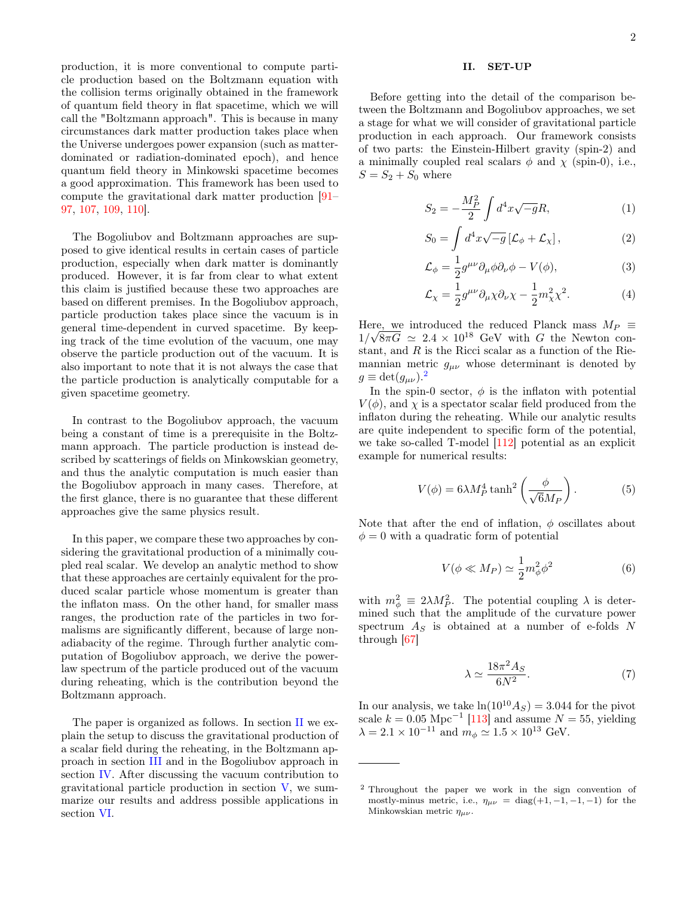production, it is more conventional to compute particle production based on the Boltzmann equation with the collision terms originally obtained in the framework of quantum field theory in flat spacetime, which we will call the "Boltzmann approach". This is because in many circumstances dark matter production takes place when the Universe undergoes power expansion (such as matterdominated or radiation-dominated epoch), and hence quantum field theory in Minkowski spacetime becomes a good approximation. This framework has been used to compute the gravitational dark matter production [\[91–](#page-10-1) [97,](#page-10-2) [107,](#page-10-7) [109,](#page-10-8) [110\]](#page-10-4).

The Bogoliubov and Boltzmann approaches are supposed to give identical results in certain cases of particle production, especially when dark matter is dominantly produced. However, it is far from clear to what extent this claim is justified because these two approaches are based on different premises. In the Bogoliubov approach, particle production takes place since the vacuum is in general time-dependent in curved spacetime. By keeping track of the time evolution of the vacuum, one may observe the particle production out of the vacuum. It is also important to note that it is not always the case that the particle production is analytically computable for a given spacetime geometry.

In contrast to the Bogoliubov approach, the vacuum being a constant of time is a prerequisite in the Boltzmann approach. The particle production is instead described by scatterings of fields on Minkowskian geometry, and thus the analytic computation is much easier than the Bogoliubov approach in many cases. Therefore, at the first glance, there is no guarantee that these different approaches give the same physics result.

In this paper, we compare these two approaches by considering the gravitational production of a minimally coupled real scalar. We develop an analytic method to show that these approaches are certainly equivalent for the produced scalar particle whose momentum is greater than the inflaton mass. On the other hand, for smaller mass ranges, the production rate of the particles in two formalisms are significantly different, because of large nonadiabacity of the regime. Through further analytic computation of Bogoliubov approach, we derive the powerlaw spectrum of the particle produced out of the vacuum during reheating, which is the contribution beyond the Boltzmann approach.

The paper is organized as follows. In section [II](#page-1-0) we explain the setup to discuss the gravitational production of a scalar field during the reheating, in the Boltzmann approach in section [III](#page-2-0) and in the Bogoliubov approach in section [IV.](#page-3-0) After discussing the vacuum contribution to gravitational particle production in section [V,](#page-5-0) we summarize our results and address possible applications in section [VI.](#page-6-0)

# <span id="page-1-0"></span>II. SET-UP

Before getting into the detail of the comparison between the Boltzmann and Bogoliubov approaches, we set a stage for what we will consider of gravitational particle production in each approach. Our framework consists of two parts: the Einstein-Hilbert gravity (spin-2) and a minimally coupled real scalars  $\phi$  and  $\chi$  (spin-0), i.e.,  $S = S_2 + S_0$  where

$$
S_2 = -\frac{M_P^2}{2} \int d^4x \sqrt{-g}R,\tag{1}
$$

$$
S_0 = \int d^4x \sqrt{-g} \left[ \mathcal{L}_{\phi} + \mathcal{L}_{\chi} \right],\tag{2}
$$

$$
\mathcal{L}_{\phi} = \frac{1}{2} g^{\mu\nu} \partial_{\mu} \phi \partial_{\nu} \phi - V(\phi), \tag{3}
$$

$$
\mathcal{L}_{\chi} = \frac{1}{2} g^{\mu\nu} \partial_{\mu} \chi \partial_{\nu} \chi - \frac{1}{2} m_{\chi}^2 \chi^2.
$$
 (4)

Here, we introduced the reduced Planck mass  $M_P \equiv$  $1/\sqrt{8\pi G} \simeq 2.4 \times 10^{18}$  GeV with G the Newton constant, and  $R$  is the Ricci scalar as a function of the Riemannian metric  $g_{\mu\nu}$  whose determinant is denoted by  $g \equiv \det(g_{\mu\nu}).^2$  $g \equiv \det(g_{\mu\nu}).^2$ 

In the spin-0 sector,  $\phi$  is the inflaton with potential  $V(\phi)$ , and  $\chi$  is a spectator scalar field produced from the inflaton during the reheating. While our analytic results are quite independent to specific form of the potential, we take so-called T-model [\[112\]](#page-10-9) potential as an explicit example for numerical results:

$$
V(\phi) = 6\lambda M_P^4 \tanh^2\left(\frac{\phi}{\sqrt{6}M_P}\right). \tag{5}
$$

Note that after the end of inflation,  $\phi$  oscillates about  $\phi = 0$  with a quadratic form of potential

$$
V(\phi \ll M_P) \simeq \frac{1}{2} m_{\phi}^2 \phi^2 \tag{6}
$$

with  $m_{\phi}^2 \equiv 2\lambda M_P^2$ . The potential coupling  $\lambda$  is determined such that the amplitude of the curvature power spectrum  $A_S$  is obtained at a number of e-folds N through [\[67\]](#page-9-4)

$$
\lambda \simeq \frac{18\pi^2 A_S}{6N^2}.\tag{7}
$$

In our analysis, we take  $ln(10^{10} A_S) = 3.044$  for the pivot scale  $k = 0.05$  Mpc<sup>-1</sup> [\[113\]](#page-10-10) and assume  $N = 55$ , yielding  $\lambda = 2.1 \times 10^{-11}$  and  $m_{\phi} \simeq 1.5 \times 10^{13}$  GeV.

<span id="page-1-1"></span><sup>2</sup> Throughout the paper we work in the sign convention of mostly-minus metric, i.e.,  $\eta_{\mu\nu} = \text{diag}(+1, -1, -1, -1)$  for the Minkowskian metric  $\eta_{\mu\nu}$ .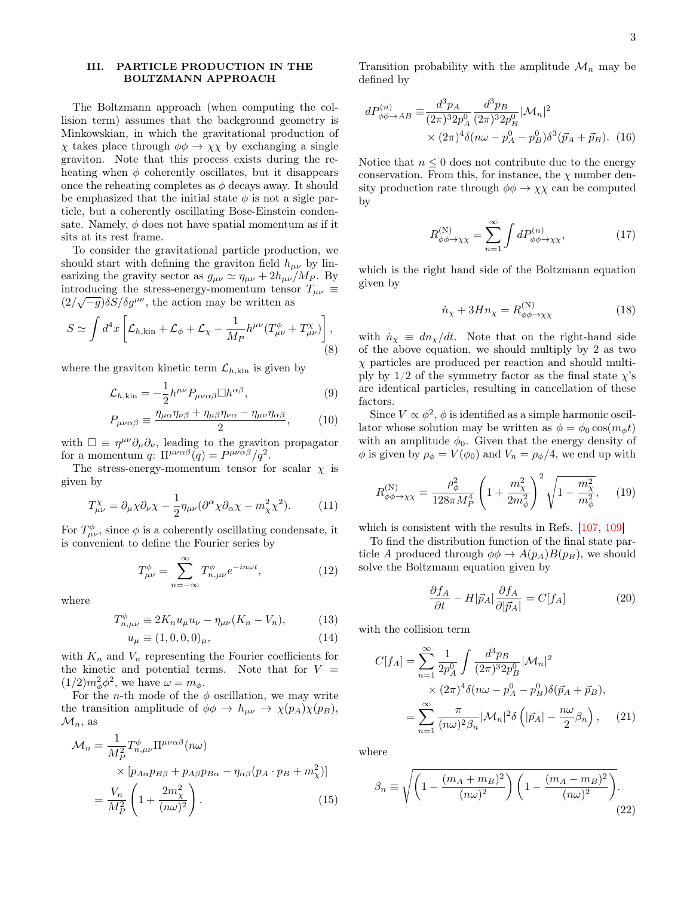## <span id="page-2-0"></span>III. PARTICLE PRODUCTION IN THE BOLTZMANN APPROACH

The Boltzmann approach (when computing the collision term) assumes that the background geometry is Minkowskian, in which the gravitational production of  $\chi$  takes place through  $\phi \phi \to \chi \chi$  by exchanging a single graviton. Note that this process exists during the reheating when  $\phi$  coherently oscillates, but it disappears once the reheating completes as  $\phi$  decays away. It should be emphasized that the initial state  $\phi$  is not a sigle particle, but a coherently oscillating Bose-Einstein condensate. Namely,  $\phi$  does not have spatial momentum as if it sits at its rest frame.

To consider the gravitational particle production, we should start with defining the graviton field  $h_{\mu\nu}$  by linearizing the gravity sector as  $g_{\mu\nu} \simeq \eta_{\mu\nu} + 2h_{\mu\nu}/M_P$ . By introducing the stress-energy-momentum tensor  $T_{\mu\nu} \equiv$  $\frac{(2/\sqrt{-g})\delta S}{\delta g^{\mu\nu}}$ , the action may be written as

$$
S \simeq \int d^4x \left[ \mathcal{L}_{h,\text{kin}} + \mathcal{L}_{\phi} + \mathcal{L}_{\chi} - \frac{1}{M_P} h^{\mu\nu} (T^{\phi}_{\mu\nu} + T^{\chi}_{\mu\nu}) \right],\tag{8}
$$

where the graviton kinetic term  $\mathcal{L}_{h,kin}$  is given by

$$
\mathcal{L}_{h,\text{kin}} = -\frac{1}{2} h^{\mu\nu} P_{\mu\nu\alpha\beta} \Box h^{\alpha\beta},\tag{9}
$$

$$
P_{\mu\nu\alpha\beta} \equiv \frac{\eta_{\mu\alpha}\eta_{\nu\beta} + \eta_{\mu\beta}\eta_{\nu\alpha} - \eta_{\mu\nu}\eta_{\alpha\beta}}{2},\qquad(10)
$$

with  $\Box \equiv \eta^{\mu\nu} \partial_{\mu} \partial_{\nu}$ , leading to the graviton propagator for a momentum q:  $\Pi^{\mu\nu\alpha\beta}(q) = P^{\mu\nu\alpha\beta}/q^2$ .

The stress-energy-momentum tensor for scalar  $\chi$  is given by

$$
T^{\chi}_{\mu\nu} = \partial_{\mu}\chi\partial_{\nu}\chi - \frac{1}{2}\eta_{\mu\nu}(\partial^{\alpha}\chi\partial_{\alpha}\chi - m_{\chi}^{2}\chi^{2}).
$$
 (11)

For  $T^{\phi}_{\mu\nu}$ , since  $\phi$  is a coherently oscillating condensate, it is convenient to define the Fourier series by

$$
T^{\phi}_{\mu\nu} = \sum_{n=-\infty}^{\infty} T^{\phi}_{n,\mu\nu} e^{-in\omega t}, \qquad (12)
$$

where

$$
T_{n,\mu\nu}^{\phi} \equiv 2K_n u_{\mu} u_{\nu} - \eta_{\mu\nu}(K_n - V_n), \tag{13}
$$

$$
u_{\mu} \equiv (1, 0, 0, 0)_{\mu}, \tag{14}
$$

with  $K_n$  and  $V_n$  representing the Fourier coefficients for the kinetic and potential terms. Note that for  $V =$  $(1/2)m_{\phi}^2\phi^2$ , we have  $\omega = m_{\phi}$ .

For the *n*-th mode of the  $\phi$  oscillation, we may write the transition amplitude of  $\phi \phi \to h_{\mu\nu} \to \chi(p_A)\chi(p_B)$ ,  $\mathcal{M}_n$ , as

$$
\mathcal{M}_n = \frac{1}{M_P^2} T_{n,\mu\nu}^{\phi} \Pi^{\mu\nu\alpha\beta}(n\omega)
$$
  
 
$$
\times \left[ p_{A\alpha} p_{B\beta} + p_{A\beta} p_{B\alpha} - \eta_{\alpha\beta} (p_A \cdot p_B + m_\chi^2) \right]
$$
  
 
$$
= \frac{V_n}{M_P^2} \left( 1 + \frac{2m_\chi^2}{(n\omega)^2} \right). \tag{15}
$$

Transition probability with the amplitude  $\mathcal{M}_n$  may be defined by

$$
dP_{\phi\phi \to AB}^{(n)} \equiv \frac{d^3 p_A}{(2\pi)^3 2p_A^0} \frac{d^3 p_B}{(2\pi)^3 2p_B^0} |\mathcal{M}_n|^2
$$
  
 
$$
\times (2\pi)^4 \delta(n\omega - p_A^0 - p_B^0) \delta^3(\vec{p}_A + \vec{p}_B).
$$
 (16)

Notice that  $n \leq 0$  does not contribute due to the energy conservation. From this, for instance, the  $\chi$  number density production rate through  $\phi \phi \rightarrow \chi \chi$  can be computed by

$$
R_{\phi\phi \to \chi\chi}^{(N)} = \sum_{n=1}^{\infty} \int dP_{\phi\phi \to \chi\chi}^{(n)},\tag{17}
$$

which is the right hand side of the Boltzmann equation given by

$$
\dot{n}_{\chi} + 3H n_{\chi} = R^{(N)}_{\phi\phi \to \chi\chi} \tag{18}
$$

with  $\dot{n}_{\chi} \equiv dn_{\chi}/dt$ . Note that on the right-hand side of the above equation, we should multiply by 2 as two  $\chi$  particles are produced per reaction and should multiply by  $1/2$  of the symmetry factor as the final state  $\chi$ 's are identical particles, resulting in cancellation of these factors.

Since  $V \propto \phi^2$ ,  $\phi$  is identified as a simple harmonic oscillator whose solution may be written as  $\phi = \phi_0 \cos(m_\phi t)$ with an amplitude  $\phi_0$ . Given that the energy density of  $\phi$  is given by  $\rho_{\phi} = V(\phi_0)$  and  $V_n = \rho_{\phi}/4$ , we end up with

$$
R_{\phi\phi \to \chi\chi}^{(N)} = \frac{\rho_{\phi}^2}{128\pi M_P^4} \left( 1 + \frac{m_{\chi}^2}{2m_{\phi}^2} \right)^2 \sqrt{1 - \frac{m_{\chi}^2}{m_{\phi}^2}}, \quad (19)
$$

which is consistent with the results in Refs. [\[107,](#page-10-7) [109\]](#page-10-8)

To find the distribution function of the final state particle A produced through  $\phi \phi \rightarrow A(p_A)B(p_B)$ , we should solve the Boltzmann equation given by

$$
\frac{\partial f_A}{\partial t} - H|\vec{p}_A| \frac{\partial f_A}{\partial |\vec{p}_A|} = C[f_A]
$$
 (20)

with the collision term

$$
C[f_A] = \sum_{n=1}^{\infty} \frac{1}{2p_A^0} \int \frac{d^3 p_B}{(2\pi)^3 2p_B^0} |\mathcal{M}_n|^2
$$
  
 
$$
\times (2\pi)^4 \delta(n\omega - p_A^0 - p_B^0) \delta(\vec{p}_A + \vec{p}_B),
$$
  
 
$$
= \sum_{n=1}^{\infty} \frac{\pi}{(n\omega)^2 \beta_n} |\mathcal{M}_n|^2 \delta\left(|\vec{p}_A| - \frac{n\omega}{2} \beta_n\right), \quad (21)
$$

<span id="page-2-1"></span>where

$$
\beta_n \equiv \sqrt{\left(1 - \frac{(m_A + m_B)^2}{(n\omega)^2}\right)\left(1 - \frac{(m_A - m_B)^2}{(n\omega)^2}\right)}.
$$
\n(22)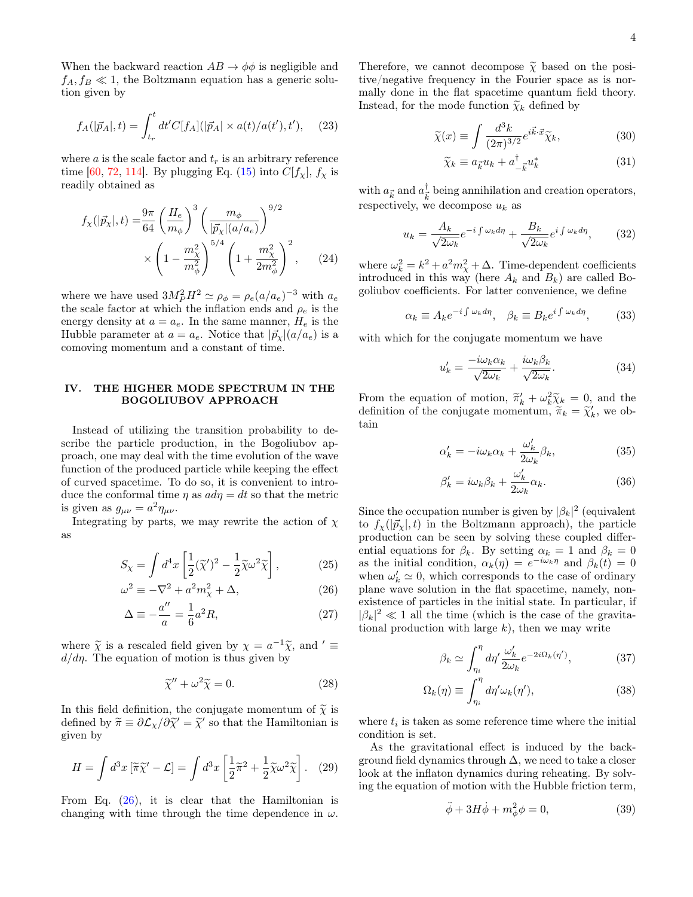When the backward reaction  $AB \to \phi\phi$  is negligible and  $f_A, f_B \ll 1$ , the Boltzmann equation has a generic solution given by

$$
f_A(|\vec{p}_A|, t) = \int_{t_r}^t dt' C[f_A](|\vec{p}_A| \times a(t)/a(t'), t'), \quad (23)
$$

where a is the scale factor and  $t_r$  is an arbitrary reference time [\[60,](#page-9-2) [72,](#page-9-8) [114\]](#page-10-11). By plugging Eq. [\(15\)](#page-2-1) into  $C[f_{\chi}], f_{\chi}$  is readily obtained as

$$
f_{\chi}(|\vec{p}_{\chi}|,t) = \frac{9\pi}{64} \left(\frac{H_e}{m_{\phi}}\right)^3 \left(\frac{m_{\phi}}{|\vec{p}_{\chi}| (a/a_e)}\right)^{9/2} \times \left(1 - \frac{m_{\chi}^2}{m_{\phi}^2}\right)^{5/4} \left(1 + \frac{m_{\chi}^2}{2m_{\phi}^2}\right)^2, \quad (24)
$$

where we have used  $3M_P^2 H^2 \simeq \rho_\phi = \rho_e (a/a_e)^{-3}$  with  $a_e$ the scale factor at which the inflation ends and  $\rho_e$  is the energy density at  $a = a_e$ . In the same manner,  $H_e$  is the Hubble parameter at  $a = a_e$ . Notice that  $|\vec{p}_{\chi}|(a/a_e)$  is a comoving momentum and a constant of time.

### <span id="page-3-0"></span>IV. THE HIGHER MODE SPECTRUM IN THE BOGOLIUBOV APPROACH

Instead of utilizing the transition probability to describe the particle production, in the Bogoliubov approach, one may deal with the time evolution of the wave function of the produced particle while keeping the effect of curved spacetime. To do so, it is convenient to introduce the conformal time  $\eta$  as  $a d\eta = dt$  so that the metric is given as  $g_{\mu\nu} = a^2 \eta_{\mu\nu}$ .

Integrating by parts, we may rewrite the action of  $\chi$ as

$$
S_{\chi} = \int d^4x \left[ \frac{1}{2} (\tilde{\chi}')^2 - \frac{1}{2} \tilde{\chi} \omega^2 \tilde{\chi} \right],
$$
 (25)

$$
\omega^2 \equiv -\nabla^2 + a^2 m_\chi^2 + \Delta,\tag{26}
$$
\n
$$
\Delta = \frac{a''}{a^2} \frac{1}{a^2} \tag{27}
$$

$$
\Delta \equiv -\frac{a}{a} = \frac{1}{6}a^2 R,\tag{27}
$$

where  $\tilde{\chi}$  is a rescaled field given by  $\chi = a^{-1}\tilde{\chi}$ , and  $\ell \equiv d/dn$ . The equation of motion is thus given by  $d/d\eta$ . The equation of motion is thus given by

$$
\tilde{\chi}'' + \omega^2 \tilde{\chi} = 0. \tag{28}
$$

In this field definition, the conjugate momentum of  $\widetilde{\chi}$  is defined by  $\widetilde{\pi} \equiv \partial \mathcal{L}_{\chi}/\partial \widetilde{\chi}' = \widetilde{\chi}'$  so that the Hamiltonian is given by given by

$$
H = \int d^3x \left[ \tilde{\pi} \tilde{\chi}' - \mathcal{L} \right] = \int d^3x \left[ \frac{1}{2} \tilde{\pi}^2 + \frac{1}{2} \tilde{\chi} \omega^2 \tilde{\chi} \right]. \tag{29}
$$

From Eq. [\(26\)](#page-3-1), it is clear that the Hamiltonian is changing with time through the time dependence in  $\omega$ .

Therefore, we cannot decompose  $\widetilde{\chi}$  based on the positive/negative frequency in the Fourier space as is normally done in the flat spacetime quantum field theory. Instead, for the mode function  $\tilde{\chi}_k$  defined by

$$
\widetilde{\chi}(x) \equiv \int \frac{d^3k}{(2\pi)^{3/2}} e^{i\vec{k}\cdot\vec{x}} \widetilde{\chi}_k,\tag{30}
$$

<span id="page-3-4"></span>
$$
\widetilde{\chi}_k \equiv a_{\vec{k}} u_k + a_{-\vec{k}}^{\dagger} u_k^* \tag{31}
$$

with  $a_{\vec{k}}$  and  $a_{\vec{k}}^{\dagger}$  $\frac{1}{k}$  being annihilation and creation operators, respectively, we decompose  $u_k$  as

$$
u_k = \frac{A_k}{\sqrt{2\omega_k}} e^{-i \int \omega_k d\eta} + \frac{B_k}{\sqrt{2\omega_k}} e^{i \int \omega_k d\eta}, \qquad (32)
$$

<span id="page-3-3"></span>where  $\omega_k^2 = k^2 + a^2 m_\chi^2 + \Delta$ . Time-dependent coefficients introduced in this way (here  $A_k$  and  $B_k$ ) are called Bogoliubov coefficients. For latter convenience, we define

$$
\alpha_k \equiv A_k e^{-i \int \omega_k d\eta}, \quad \beta_k \equiv B_k e^{i \int \omega_k d\eta}, \tag{33}
$$

with which for the conjugate momentum we have

β

$$
u'_{k} = \frac{-i\omega_{k}\alpha_{k}}{\sqrt{2\omega_{k}}} + \frac{i\omega_{k}\beta_{k}}{\sqrt{2\omega_{k}}}.
$$
 (34)

From the equation of motion,  $\widetilde{\pi}'_k + \omega_k^2 \widetilde{\chi}_k = 0$ , and the definition of the conjugate momentum  $\widetilde{\pi}_k - \widetilde{\chi}'_k$  we ob definition of the conjugate momentum,  $\widetilde{\pi}_k = \widetilde{\chi}'_k$ , we obtain tain

$$
\alpha'_{k} = -i\omega_{k}\alpha_{k} + \frac{\omega'_{k}}{2\omega_{k}}\beta_{k},
$$
\n(35)

$$
\beta'_k = i\omega_k \beta_k + \frac{\omega'_k}{2\omega_k} \alpha_k. \tag{36}
$$

<span id="page-3-1"></span>Since the occupation number is given by  $|\beta_k|^2$  (equivalent to  $f_{\gamma}(|\vec{p}_{\gamma}|, t)$  in the Boltzmann approach), the particle production can be seen by solving these coupled differential equations for  $\beta_k$ . By setting  $\alpha_k = 1$  and  $\beta_k = 0$ as the initial condition,  $\alpha_k(\eta) = e^{-i\omega_k \eta}$  and  $\beta_k(t) = 0$ when  $\omega'_k \simeq 0$ , which corresponds to the case of ordinary plane wave solution in the flat spacetime, namely, nonexistence of particles in the initial state. In particular, if  $|\beta_k|^2 \ll 1$  all the time (which is the case of the gravitational production with large  $k$ ), then we may write

<span id="page-3-2"></span>
$$
\beta_k \simeq \int_{\eta_i}^{\eta} d\eta' \frac{\omega_k'}{2\omega_k} e^{-2i\Omega_k(\eta')},\tag{37}
$$

$$
\Omega_k(\eta) \equiv \int_{\eta_i}^{\eta} d\eta' \omega_k(\eta'), \qquad (38)
$$

<span id="page-3-5"></span>where  $t_i$  is taken as some reference time where the initial condition is set.

As the gravitational effect is induced by the background field dynamics through  $\Delta$ , we need to take a closer look at the inflaton dynamics during reheating. By solving the equation of motion with the Hubble friction term,

$$
\ddot{\phi} + 3H\dot{\phi} + m_{\phi}^2 \phi = 0, \qquad (39)
$$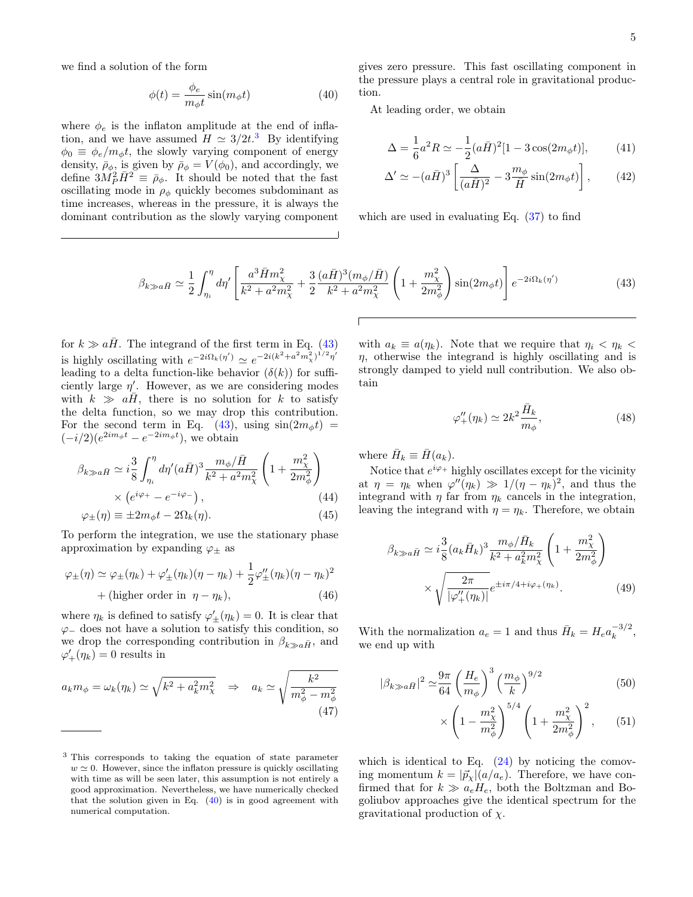we find a solution of the form

$$
\phi(t) = \frac{\phi_e}{m_\phi t} \sin(m_\phi t) \tag{40}
$$

where  $\phi_e$  is the inflaton amplitude at the end of inflation, and we have assumed  $H \simeq 3/2t^3$  $H \simeq 3/2t^3$  $H \simeq 3/2t^3$  By identifying  $\phi_0 \equiv \phi_e/m_\phi t$ , the slowly varying component of energy density,  $\bar{\rho}_{\phi}$ , is given by  $\bar{\rho}_{\phi} = V(\phi_0)$ , and accordingly, we define  $3M_P^2 \bar{H}^2 \equiv \bar{\rho}_\phi$ . It should be noted that the fast oscillating mode in  $\rho_{\phi}$  quickly becomes subdominant as time increases, whereas in the pressure, it is always the dominant contribution as the slowly varying component <span id="page-4-2"></span>gives zero pressure. This fast oscillating component in the pressure plays a central role in gravitational production.

At leading order, we obtain

$$
\Delta = \frac{1}{6}a^2 R \simeq -\frac{1}{2}(a\bar{H})^2[1 - 3\cos(2m_\phi t)],\tag{41}
$$

$$
\Delta' \simeq - (a\bar{H})^3 \left[ \frac{\Delta}{(a\bar{H})^2} - 3\frac{m_\phi}{\bar{H}} \sin(2m_\phi t) \right],\tag{42}
$$

which are used in evaluating Eq. [\(37\)](#page-3-2) to find

$$
\beta_{k \gg a\bar{H}} \simeq \frac{1}{2} \int_{\eta_i}^{\eta} d\eta' \left[ \frac{a^3 \bar{H} m_\chi^2}{k^2 + a^2 m_\chi^2} + \frac{3}{2} \frac{(a\bar{H})^3 (m_\phi/\bar{H})}{k^2 + a^2 m_\chi^2} \left( 1 + \frac{m_\chi^2}{2m_\phi^2} \right) \sin(2m_\phi t) \right] e^{-2i\Omega_k(\eta')} \tag{43}
$$

for  $k \gg a\bar{H}$ . The integrand of the first term in Eq. [\(43\)](#page-4-1) is highly oscillating with  $e^{-2i\Omega_k(\eta')} \simeq e^{-2i(k^2 + a^2m_\chi^2)^{1/2}\eta'}$ leading to a delta function-like behavior  $(\delta(k))$  for sufficiently large  $\eta'$ . However, as we are considering modes with  $k \gg a\overline{H}$ , there is no solution for k to satisfy the delta function, so we may drop this contribution. For the second term in Eq. [\(43\)](#page-4-1), using  $sin(2m_{\phi}t)$  =  $(-i/2)(e^{2im_{\phi}t}-e^{-2im_{\phi}t}),$  we obtain

$$
\beta_{k \gg a\bar{H}} \simeq i\frac{3}{8} \int_{\eta_i}^{\eta} d\eta' (a\bar{H})^3 \frac{m_\phi/\bar{H}}{k^2 + a^2 m_\chi^2} \left(1 + \frac{m_\chi^2}{2m_\phi^2}\right) \times \left(e^{i\varphi_+} - e^{-i\varphi_-}\right), \tag{44}
$$

$$
\varphi_{\pm}(\eta) \equiv \pm 2m_{\phi}t - 2\Omega_k(\eta). \tag{45}
$$

To perform the integration, we use the stationary phase approximation by expanding  $\varphi_{\pm}$  as

$$
\varphi_{\pm}(\eta) \simeq \varphi_{\pm}(\eta_k) + \varphi'_{\pm}(\eta_k)(\eta - \eta_k) + \frac{1}{2}\varphi''_{\pm}(\eta_k)(\eta - \eta_k)^2
$$
  
+ (higher order in  $\eta - \eta_k$ ), (46)

where  $\eta_k$  is defined to satisfy  $\varphi'_{\pm}(\eta_k) = 0$ . It is clear that  $\varphi$ <sub>−</sub> does not have a solution to satisfy this condition, so we drop the corresponding contribution in  $\beta_{k\gg a\bar{H}}$ , and  $\varphi'_+(\eta_k) = 0$  results in

$$
a_k m_{\phi} = \omega_k(\eta_k) \simeq \sqrt{k^2 + a_k^2 m_{\chi}^2} \quad \Rightarrow \quad a_k \simeq \sqrt{\frac{k^2}{m_{\phi}^2 - m_{\phi}^2}}
$$
\n
$$
(47)
$$

with  $a_k \equiv a(\eta_k)$ . Note that we require that  $\eta_i < \eta_k <$  $\eta$ , otherwise the integrand is highly oscillating and is strongly damped to yield null contribution. We also obtain

<span id="page-4-1"></span>
$$
\varphi_{+}^{\prime\prime}(\eta_k) \simeq 2k^2 \frac{\bar{H}_k}{m_\phi},\tag{48}
$$

where  $\bar{H}_k \equiv \bar{H}(a_k)$ .

Notice that  $e^{i\varphi +}$  highly oscillates except for the vicinity at  $\eta = \eta_k$  when  $\varphi''(\eta_k) \gg 1/(\eta - \eta_k)^2$ , and thus the integrand with  $\eta$  far from  $\eta_k$  cancels in the integration, leaving the integrand with  $\eta = \eta_k$ . Therefore, we obtain

$$
\beta_{k \gg a\bar{H}} \simeq i \frac{3}{8} (a_k \bar{H}_k)^3 \frac{m_\phi / \bar{H}_k}{k^2 + a_k^2 m_\chi^2} \left( 1 + \frac{m_\chi^2}{2m_\phi^2} \right)
$$

$$
\times \sqrt{\frac{2\pi}{|\varphi''_+(\eta_k)|}} e^{\pm i\pi/4 + i\varphi_+(\eta_k)}.
$$
(49)

With the normalization  $a_e = 1$  and thus  $\bar{H}_k = H_e a_k^{-3/2}$  $\frac{-3}{k}$ , we end up with

<span id="page-4-3"></span>
$$
|\beta_{k \gg a\bar{H}}|^2 \simeq \frac{9\pi}{64} \left(\frac{H_e}{m_\phi}\right)^3 \left(\frac{m_\phi}{k}\right)^{9/2} \qquad (50)
$$

$$
\times \left(1 - \frac{m_\chi^2}{m_\phi^2}\right)^{5/4} \left(1 + \frac{m_\chi^2}{2m_\phi^2}\right)^2, \qquad (51)
$$

which is identical to Eq.  $(24)$  by noticing the comoving momentum  $k = |\vec{p}_{x}|(a/a_e)$ . Therefore, we have confirmed that for  $k \gg a_e H_e$ , both the Boltzman and Bogoliubov approaches give the identical spectrum for the gravitational production of  $\chi$ .

<span id="page-4-0"></span><sup>3</sup> This corresponds to taking the equation of state parameter  $w \approx 0$ . However, since the inflaton pressure is quickly oscillating with time as will be seen later, this assumption is not entirely a good approximation. Nevertheless, we have numerically checked that the solution given in Eq.  $(40)$  is in good agreement with numerical computation.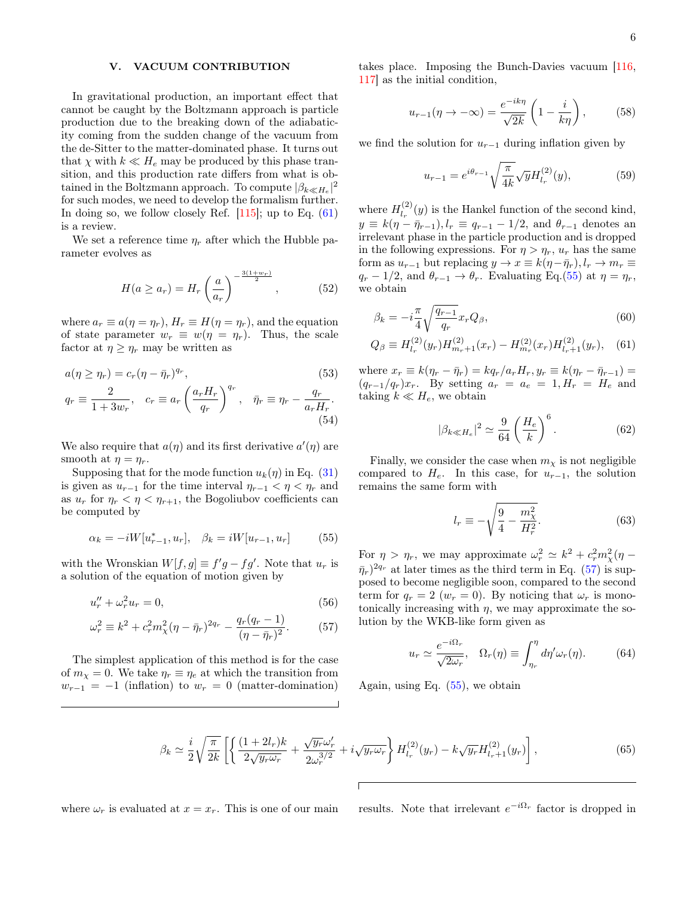## <span id="page-5-0"></span>V. VACUUM CONTRIBUTION

In gravitational production, an important effect that cannot be caught by the Boltzmann approach is particle production due to the breaking down of the adiabaticity coming from the sudden change of the vacuum from the de-Sitter to the matter-dominated phase. It turns out that  $\chi$  with  $k \ll H_e$  may be produced by this phase transition, and this production rate differs from what is obtained in the Boltzmann approach. To compute  $|\beta_{k\ll H_e}|^2$ for such modes, we need to develop the formalism further. In doing so, we follow closely Ref. [\[115\]](#page-10-12); up to Eq. [\(61\)](#page-5-1) is a review.

We set a reference time  $\eta_r$  after which the Hubble parameter evolves as

$$
H(a \ge a_r) = H_r\left(\frac{a}{a_r}\right)^{-\frac{3(1+w_r)}{2}}, \qquad (52)
$$

(54)

where  $a_r \equiv a(\eta = \eta_r)$ ,  $H_r \equiv H(\eta = \eta_r)$ , and the equation of state parameter  $w_r \equiv w(\eta = \eta_r)$ . Thus, the scale factor at  $\eta \geq \eta_r$  may be written as

$$
a(\eta \ge \eta_r) = c_r (\eta - \bar{\eta}_r)^{q_r},
$$
  
\n
$$
q_r \equiv \frac{2}{1 + 3w_r}, \quad c_r \equiv a_r \left(\frac{a_r H_r}{q_r}\right)^{q_r}, \quad \bar{\eta}_r \equiv \eta_r - \frac{q_r}{a_r H_r}.
$$
\n
$$
(53)
$$

We also require that  $a(\eta)$  and its first derivative  $a'(\eta)$  are smooth at  $\eta = \eta_r$ .

Supposing that for the mode function  $u_k(\eta)$  in Eq. [\(31\)](#page-3-4) is given as  $u_{r-1}$  for the time interval  $\eta_{r-1} < \eta < \eta_r$  and as  $u_r$  for  $\eta_r < \eta < \eta_{r+1}$ , the Bogoliubov coefficients can be computed by

$$
\alpha_k = -iW[u_{r-1}^*, u_r], \quad \beta_k = iW[u_{r-1}, u_r]
$$
(55)

with the Wronskian  $W[f, g] \equiv f'g - fg'$ . Note that  $u_r$  is a solution of the equation of motion given by

$$
u_r'' + \omega_r^2 u_r = 0,\tag{56}
$$

$$
\omega_r^2 \equiv k^2 + c_r^2 m_\chi^2 (\eta - \bar{\eta}_r)^{2q_r} - \frac{q_r (q_r - 1)}{(\eta - \bar{\eta}_r)^2}.
$$
 (57)

The simplest application of this method is for the case of  $m_{\chi} = 0$ . We take  $\eta_r \equiv \eta_e$  at which the transition from  $w_{r-1} = -1$  (inflation) to  $w_r = 0$  (matter-domination) takes place. Imposing the Bunch-Davies vacuum [\[116,](#page-10-13) [117\]](#page-10-14) as the initial condition,

$$
u_{r-1}(\eta \to -\infty) = \frac{e^{-ik\eta}}{\sqrt{2k}} \left(1 - \frac{i}{k\eta}\right),\tag{58}
$$

we find the solution for  $u_{r-1}$  during inflation given by

<span id="page-5-5"></span>
$$
u_{r-1} = e^{i\theta_{r-1}} \sqrt{\frac{\pi}{4k}} \sqrt{y} H_{l_r}^{(2)}(y),
$$
 (59)

where  $H_{l_{n}}^{(2)}$  $\int_{l_r}^{(2)}(y)$  is the Hankel function of the second kind,  $y \equiv k(\eta - \bar{\eta}_{r-1}), l_r \equiv q_{r-1} - 1/2$ , and  $\theta_{r-1}$  denotes an irrelevant phase in the particle production and is dropped in the following expressions. For  $\eta > \eta_r$ ,  $u_r$  has the same form as  $u_{r-1}$  but replacing  $y \to x \equiv k(\eta - \bar{\eta}_r), l_r \to m_r \equiv$  $q_r - 1/2$ , and  $\theta_{r-1} \to \theta_r$ . Evaluating Eq.[\(55\)](#page-5-2) at  $\eta = \eta_r$ , we obtain

$$
\beta_k = -i\frac{\pi}{4} \sqrt{\frac{q_{r-1}}{q_r}} x_r Q_\beta,\tag{60}
$$

$$
Q_{\beta} \equiv H_{l_r}^{(2)}(y_r) H_{m_r+1}^{(2)}(x_r) - H_{m_r}^{(2)}(x_r) H_{l_r+1}^{(2)}(y_r), \quad (61)
$$

where  $x_r \equiv k(\eta_r - \bar{\eta}_r) = kq_r/a_r H_r$ ,  $y_r \equiv k(\eta_r - \bar{\eta}_{r-1}) =$  $(q_{r-1}/q_r)x_r$ . By setting  $a_r = a_e = 1, H_r = H_e$  and taking  $k \ll H_e$ , we obtain

<span id="page-5-6"></span><span id="page-5-1"></span>
$$
|\beta_{k\ll H_e}|^2 \simeq \frac{9}{64} \left(\frac{H_e}{k}\right)^6.
$$
 (62)

Finally, we consider the case when  $m<sub>\chi</sub>$  is not negligible compared to  $H_e$ . In this case, for  $u_{r-1}$ , the solution remains the same form with

$$
l_r \equiv -\sqrt{\frac{9}{4} - \frac{m_\chi^2}{H_r^2}}.\tag{63}
$$

<span id="page-5-3"></span><span id="page-5-2"></span>For  $\eta > \eta_r$ , we may approximate  $\omega_r^2 \simeq k^2 + c_r^2 m_\chi^2 (\eta - \eta_r)$  $(\bar{\eta}_r)^{2q_r}$  at later times as the third term in Eq. [\(57\)](#page-5-3) is supposed to become negligible soon, compared to the second term for  $q_r = 2$   $(w_r = 0)$ . By noticing that  $\omega_r$  is monotonically increasing with  $\eta$ , we may approximate the solution by the WKB-like form given as

<span id="page-5-4"></span>
$$
u_r \simeq \frac{e^{-i\Omega_r}}{\sqrt{2\omega_r}}, \quad \Omega_r(\eta) \equiv \int_{\eta_r}^{\eta} d\eta' \omega_r(\eta). \tag{64}
$$

Again, using Eq. [\(55\)](#page-5-2), we obtain

$$
\beta_k \simeq \frac{i}{2} \sqrt{\frac{\pi}{2k}} \left[ \left\{ \frac{(1+2l_r)k}{2\sqrt{y_r \omega_r}} + \frac{\sqrt{y_r} \omega_r'}{2\omega_r^{3/2}} + i \sqrt{y_r \omega_r} \right\} H_{l_r}^{(2)}(y_r) - k \sqrt{y_r} H_{l_r+1}^{(2)}(y_r) \right],\tag{65}
$$

where  $\omega_r$  is evaluated at  $x = x_r$ . This is one of our main

 $-i\Omega_r$  factor is dropped in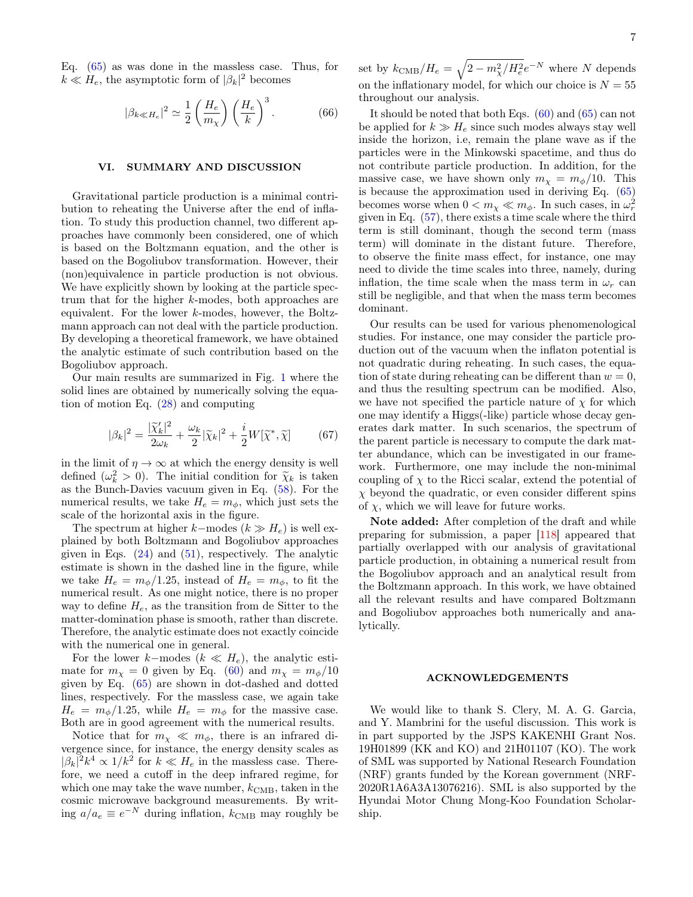Eq. [\(65\)](#page-5-4) as was done in the massless case. Thus, for  $k \ll H_e$ , the asymptotic form of  $|\beta_k|^2$  becomes

$$
|\beta_{k\ll H_e}|^2 \simeq \frac{1}{2} \left(\frac{H_e}{m_\chi}\right) \left(\frac{H_e}{k}\right)^3.
$$
 (66)

#### <span id="page-6-0"></span>VI. SUMMARY AND DISCUSSION

Gravitational particle production is a minimal contribution to reheating the Universe after the end of inflation. To study this production channel, two different approaches have commonly been considered, one of which is based on the Boltzmann equation, and the other is based on the Bogoliubov transformation. However, their (non)equivalence in particle production is not obvious. We have explicitly shown by looking at the particle spectrum that for the higher k-modes, both approaches are equivalent. For the lower  $k$ -modes, however, the Boltzmann approach can not deal with the particle production. By developing a theoretical framework, we have obtained the analytic estimate of such contribution based on the Bogoliubov approach.

Our main results are summarized in Fig. [1](#page-7-3) where the solid lines are obtained by numerically solving the equation of motion Eq. [\(28\)](#page-3-5) and computing

$$
|\beta_k|^2 = \frac{|\widetilde{\chi}_k'|^2}{2\omega_k} + \frac{\omega_k}{2} |\widetilde{\chi}_k|^2 + \frac{i}{2} W[\widetilde{\chi}^*, \widetilde{\chi}] \tag{67}
$$

in the limit of  $\eta \to \infty$  at which the energy density is well defined  $(\omega_k^2 > 0)$ . The initial condition for  $\tilde{\chi}_k$  is taken<br>as the Bunch-Davies vacuum given in Eq. (58). For the as the Bunch-Davies vacuum given in Eq. [\(58\)](#page-5-5). For the numerical results, we take  $H_e = m_\phi$ , which just sets the scale of the horizontal axis in the figure.

The spectrum at higher k–modes  $(k \gg H_e)$  is well explained by both Boltzmann and Bogoliubov approaches given in Eqs.  $(24)$  and  $(51)$ , respectively. The analytic estimate is shown in the dashed line in the figure, while we take  $H_e = m_\phi/1.25$ , instead of  $H_e = m_\phi$ , to fit the numerical result. As one might notice, there is no proper way to define  $H_e$ , as the transition from de Sitter to the matter-domination phase is smooth, rather than discrete. Therefore, the analytic estimate does not exactly coincide with the numerical one in general.

For the lower k–modes  $(k \ll H_e)$ , the analytic estimate for  $m_{\chi} = 0$  given by Eq. [\(60\)](#page-5-6) and  $m_{\chi} = m_{\phi}/10$ given by Eq. [\(65\)](#page-5-4) are shown in dot-dashed and dotted lines, respectively. For the massless case, we again take  $H_e = m_\phi/1.25$ , while  $H_e = m_\phi$  for the massive case. Both are in good agreement with the numerical results.

Notice that for  $m_{\chi} \ll m_{\phi}$ , there is an infrared divergence since, for instance, the energy density scales as  $|\beta_k|^2 k^4 \propto 1/k^2$  for  $k \ll H_e$  in the massless case. Therefore, we need a cutoff in the deep infrared regime, for which one may take the wave number,  $k_{\text{CMB}}$ , taken in the cosmic microwave background measurements. By writing  $a/a_e \equiv e^{-N}$  during inflation,  $k_{\text{CMB}}$  may roughly be

set by  $k_{\text{CMB}}/H_e = \sqrt{2 - m_{\chi}^2/H_e^2}e^{-N}$  where N depends on the inflationary model, for which our choice is  $N = 55$ throughout our analysis.

It should be noted that both Eqs.  $(60)$  and  $(65)$  can not be applied for  $k \gg H_e$  since such modes always stay well inside the horizon, i.e, remain the plane wave as if the particles were in the Minkowski spacetime, and thus do not contribute particle production. In addition, for the massive case, we have shown only  $m_{\chi} = m_{\phi}/10$ . This is because the approximation used in deriving Eq. [\(65\)](#page-5-4) becomes worse when  $0 < m_{\chi} \ll m_{\phi}$ . In such cases, in  $\omega_r^2$ given in Eq. [\(57\)](#page-5-3), there exists a time scale where the third term is still dominant, though the second term (mass term) will dominate in the distant future. Therefore, to observe the finite mass effect, for instance, one may need to divide the time scales into three, namely, during inflation, the time scale when the mass term in  $\omega_r$  can still be negligible, and that when the mass term becomes dominant.

Our results can be used for various phenomenological studies. For instance, one may consider the particle production out of the vacuum when the inflaton potential is not quadratic during reheating. In such cases, the equation of state during reheating can be different than  $w = 0$ , and thus the resulting spectrum can be modified. Also, we have not specified the particle nature of  $\chi$  for which one may identify a Higgs(-like) particle whose decay generates dark matter. In such scenarios, the spectrum of the parent particle is necessary to compute the dark matter abundance, which can be investigated in our framework. Furthermore, one may include the non-minimal coupling of  $\chi$  to the Ricci scalar, extend the potential of  $\chi$  beyond the quadratic, or even consider different spins of  $\chi$ , which we will leave for future works.

Note added: After completion of the draft and while preparing for submission, a paper [\[118\]](#page-10-15) appeared that partially overlapped with our analysis of gravitational particle production, in obtaining a numerical result from the Bogoliubov approach and an analytical result from the Boltzmann approach. In this work, we have obtained all the relevant results and have compared Boltzmann and Bogoliubov approaches both numerically and analytically.

#### ACKNOWLEDGEMENTS

We would like to thank S. Clery, M. A. G. Garcia, and Y. Mambrini for the useful discussion. This work is in part supported by the JSPS KAKENHI Grant Nos. 19H01899 (KK and KO) and 21H01107 (KO). The work of SML was supported by National Research Foundation (NRF) grants funded by the Korean government (NRF-2020R1A6A3A13076216). SML is also supported by the Hyundai Motor Chung Mong-Koo Foundation Scholarship.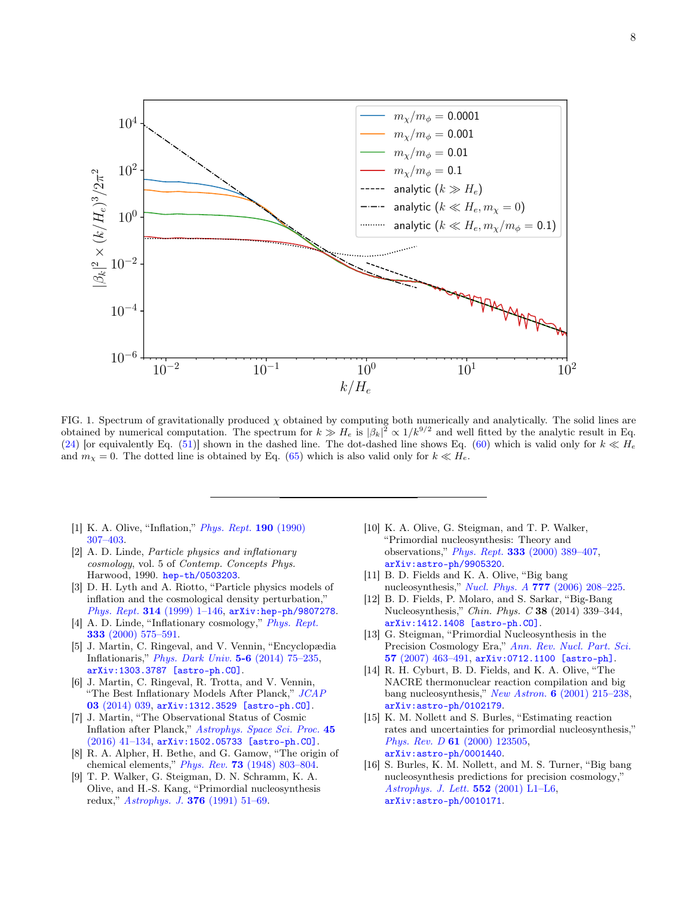

<span id="page-7-3"></span>FIG. 1. Spectrum of gravitationally produced  $\chi$  obtained by computing both numerically and analytically. The solid lines are obtained by numerical computation. The spectrum for  $k \gg H_e$  is  $|\beta_k|^2 \propto 1/k^{9/2}$  and well fitted by the analytic result in Eq. [\(24\)](#page-3-3) [or equivalently Eq. [\(51\)](#page-4-3)] shown in the dashed line. The dot-dashed line shows Eq. [\(60\)](#page-5-6) which is valid only for  $k \ll H_e$ and  $m_{\chi} = 0$ . The dotted line is obtained by Eq. [\(65\)](#page-5-4) which is also valid only for  $k \ll H_e$ .

- <span id="page-7-0"></span>[1] K. A. Olive, "Inflation," [Phys. Rept.](http://dx.doi.org/10.1016/0370-1573(90)90144-Q) 190 (1990) [307–403.](http://dx.doi.org/10.1016/0370-1573(90)90144-Q)
- [2] A. D. Linde, Particle physics and inflationary cosmology, vol. 5 of Contemp. Concepts Phys. Harwood, 1990. [hep-th/0503203](http://arxiv.org/abs/hep-th/0503203).
- [3] D. H. Lyth and A. Riotto, "Particle physics models of inflation and the cosmological density perturbation," Phys. Rept. 314 [\(1999\) 1–146,](http://dx.doi.org/10.1016/S0370-1573(98)00128-8) [arXiv:hep-ph/9807278](http://arxiv.org/abs/hep-ph/9807278).
- [4] A. D. Linde, "Inflationary cosmology," *[Phys. Rept.](http://dx.doi.org/10.1016/S0370-1573(00)00038-7)* 333 [\(2000\) 575–591.](http://dx.doi.org/10.1016/S0370-1573(00)00038-7)
- [5] J. Martin, C. Ringeval, and V. Vennin, "Encyclopædia Inflationaris," [Phys. Dark Univ.](http://dx.doi.org/10.1016/j.dark.2014.01.003) 5-6 (2014) 75–235, [arXiv:1303.3787 \[astro-ph.CO\]](http://arxiv.org/abs/1303.3787).
- [6] J. Martin, C. Ringeval, R. Trotta, and V. Vennin, "The Best Inflationary Models After Planck," [JCAP](http://dx.doi.org/10.1088/1475-7516/2014/03/039) 03 [\(2014\) 039,](http://dx.doi.org/10.1088/1475-7516/2014/03/039) [arXiv:1312.3529 \[astro-ph.CO\]](http://arxiv.org/abs/1312.3529).
- <span id="page-7-1"></span>[7] J. Martin, "The Observational Status of Cosmic Inflation after Planck," [Astrophys. Space Sci. Proc.](http://dx.doi.org/10.1007/978-3-319-44769-8_2) 45 [\(2016\) 41–134,](http://dx.doi.org/10.1007/978-3-319-44769-8_2) [arXiv:1502.05733 \[astro-ph.CO\]](http://arxiv.org/abs/1502.05733).
- <span id="page-7-2"></span>[8] R. A. Alpher, H. Bethe, and G. Gamow, "The origin of chemical elements," Phys. Rev. 73 [\(1948\) 803–804.](http://dx.doi.org/10.1103/PhysRev.73.803)
- [9] T. P. Walker, G. Steigman, D. N. Schramm, K. A. Olive, and H.-S. Kang, "Primordial nucleosynthesis redux," [Astrophys. J.](http://dx.doi.org/10.1086/170255) 376 (1991) 51–69.
- [10] K. A. Olive, G. Steigman, and T. P. Walker, "Primordial nucleosynthesis: Theory and observations," Phys. Rept. 333 [\(2000\) 389–407,](http://dx.doi.org/10.1016/S0370-1573(00)00031-4) [arXiv:astro-ph/9905320](http://arxiv.org/abs/astro-ph/9905320).
- [11] B. D. Fields and K. A. Olive, "Big bang nucleosynthesis," Nucl. Phys. A 777 [\(2006\) 208–225.](http://dx.doi.org/10.1016/j.nuclphysa.2004.10.033)
- [12] B. D. Fields, P. Molaro, and S. Sarkar, "Big-Bang Nucleosynthesis," Chin. Phys. C 38 (2014) 339–344, [arXiv:1412.1408 \[astro-ph.CO\]](http://arxiv.org/abs/1412.1408).
- [13] G. Steigman, "Primordial Nucleosynthesis in the Precision Cosmology Era," [Ann. Rev. Nucl. Part. Sci.](http://dx.doi.org/10.1146/annurev.nucl.56.080805.140437) 57 [\(2007\) 463–491,](http://dx.doi.org/10.1146/annurev.nucl.56.080805.140437) [arXiv:0712.1100 \[astro-ph\]](http://arxiv.org/abs/0712.1100).
- [14] R. H. Cyburt, B. D. Fields, and K. A. Olive, "The NACRE thermonuclear reaction compilation and big bang nucleosynthesis," New Astron. 6 [\(2001\) 215–238,](http://dx.doi.org/10.1016/S1384-1076(01)00053-7) [arXiv:astro-ph/0102179](http://arxiv.org/abs/astro-ph/0102179).
- [15] K. M. Nollett and S. Burles, "Estimating reaction rates and uncertainties for primordial nucleosynthesis," Phys. Rev. D 61 [\(2000\) 123505,](http://dx.doi.org/10.1103/PhysRevD.61.123505) [arXiv:astro-ph/0001440](http://arxiv.org/abs/astro-ph/0001440).
- [16] S. Burles, K. M. Nollett, and M. S. Turner, "Big bang nucleosynthesis predictions for precision cosmology," [Astrophys. J. Lett.](http://dx.doi.org/10.1086/320251) 552 (2001) L1–L6, [arXiv:astro-ph/0010171](http://arxiv.org/abs/astro-ph/0010171).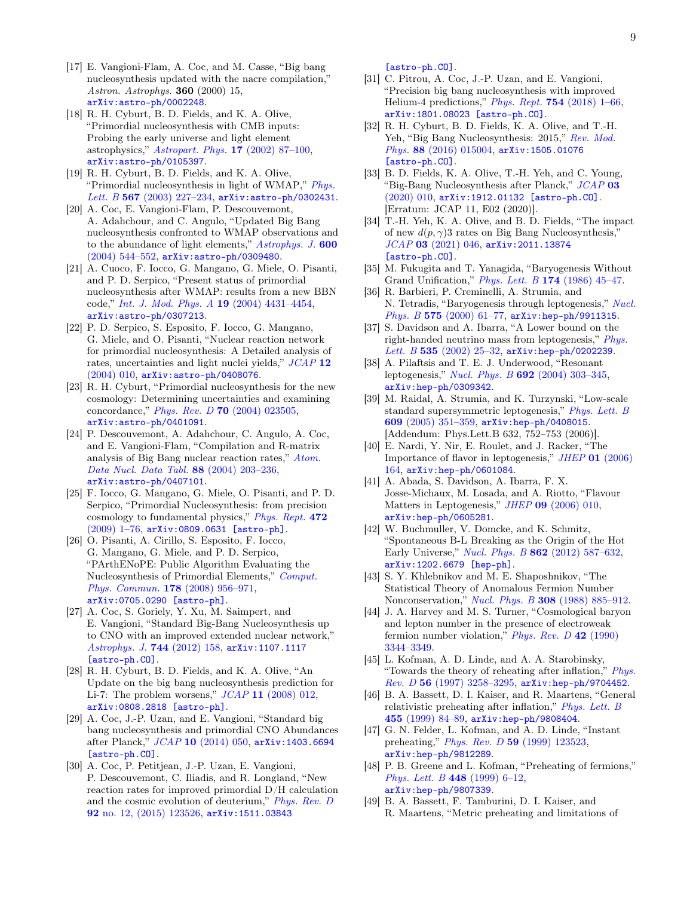- [17] E. Vangioni-Flam, A. Coc, and M. Casse, "Big bang nucleosynthesis updated with the nacre compilation," Astron. Astrophys. 360 (2000) 15, [arXiv:astro-ph/0002248](http://arxiv.org/abs/astro-ph/0002248).
- [18] R. H. Cyburt, B. D. Fields, and K. A. Olive, "Primordial nucleosynthesis with CMB inputs: Probing the early universe and light element astrophysics," [Astropart. Phys.](http://dx.doi.org/10.1016/S0927-6505(01)00171-2) 17 (2002) 87–100, [arXiv:astro-ph/0105397](http://arxiv.org/abs/astro-ph/0105397).
- [19] R. H. Cyburt, B. D. Fields, and K. A. Olive, "Primordial nucleosynthesis in light of WMAP," [Phys.](http://dx.doi.org/10.1016/j.physletb.2003.06.026) Lett. B 567 (2003) 227-234, arXiv: astro-ph/0302431.
- [20] A. Coc, E. Vangioni-Flam, P. Descouvemont, A. Adahchour, and C. Angulo, "Updated Big Bang nucleosynthesis confronted to WMAP observations and to the abundance of light elements," [Astrophys. J.](http://dx.doi.org/10.1086/380121) 600 [\(2004\) 544–552,](http://dx.doi.org/10.1086/380121) [arXiv:astro-ph/0309480](http://arxiv.org/abs/astro-ph/0309480).
- [21] A. Cuoco, F. Iocco, G. Mangano, G. Miele, O. Pisanti, and P. D. Serpico, "Present status of primordial nucleosynthesis after WMAP: results from a new BBN code," [Int. J. Mod. Phys. A](http://dx.doi.org/10.1142/S0217751X04019548) 19 (2004) 4431–4454, [arXiv:astro-ph/0307213](http://arxiv.org/abs/astro-ph/0307213).
- [22] P. D. Serpico, S. Esposito, F. Iocco, G. Mangano, G. Miele, and O. Pisanti, "Nuclear reaction network for primordial nucleosynthesis: A Detailed analysis of rates, uncertainties and light nuclei yields," [JCAP](http://dx.doi.org/10.1088/1475-7516/2004/12/010) 12 [\(2004\) 010,](http://dx.doi.org/10.1088/1475-7516/2004/12/010) [arXiv:astro-ph/0408076](http://arxiv.org/abs/astro-ph/0408076).
- [23] R. H. Cyburt, "Primordial nucleosynthesis for the new cosmology: Determining uncertainties and examining concordance," Phys. Rev. D 70 [\(2004\) 023505,](http://dx.doi.org/10.1103/PhysRevD.70.023505) [arXiv:astro-ph/0401091](http://arxiv.org/abs/astro-ph/0401091).
- [24] P. Descouvemont, A. Adahchour, C. Angulo, A. Coc, and E. Vangioni-Flam, "Compilation and R-matrix analysis of Big Bang nuclear reaction rates," [Atom.](http://dx.doi.org/10.1016/j.adt.2004.08.001) [Data Nucl. Data Tabl.](http://dx.doi.org/10.1016/j.adt.2004.08.001) 88 (2004) 203–236, [arXiv:astro-ph/0407101](http://arxiv.org/abs/astro-ph/0407101).
- [25] F. Iocco, G. Mangano, G. Miele, O. Pisanti, and P. D. Serpico, "Primordial Nucleosynthesis: from precision cosmology to fundamental physics," [Phys. Rept.](http://dx.doi.org/10.1016/j.physrep.2009.02.002) 472 [\(2009\) 1–76,](http://dx.doi.org/10.1016/j.physrep.2009.02.002) [arXiv:0809.0631 \[astro-ph\]](http://arxiv.org/abs/0809.0631).
- [26] O. Pisanti, A. Cirillo, S. Esposito, F. Iocco, G. Mangano, G. Miele, and P. D. Serpico, "PArthENoPE: Public Algorithm Evaluating the Nucleosynthesis of Primordial Elements," [Comput.](http://dx.doi.org/10.1016/j.cpc.2008.02.015) [Phys. Commun.](http://dx.doi.org/10.1016/j.cpc.2008.02.015) 178 (2008) 956–971, [arXiv:0705.0290 \[astro-ph\]](http://arxiv.org/abs/0705.0290).
- [27] A. Coc, S. Goriely, Y. Xu, M. Saimpert, and E. Vangioni, "Standard Big-Bang Nucleosynthesis up to CNO with an improved extended nuclear network," [Astrophys. J.](http://dx.doi.org/10.1088/0004-637X/744/2/158) 744 (2012) 158, [arXiv:1107.1117](http://arxiv.org/abs/1107.1117) [\[astro-ph.CO\]](http://arxiv.org/abs/1107.1117).
- [28] R. H. Cyburt, B. D. Fields, and K. A. Olive, "An Update on the big bang nucleosynthesis prediction for Li-7: The problem worsens,"  $JCAP$  11 [\(2008\) 012,](http://dx.doi.org/10.1088/1475-7516/2008/11/012) [arXiv:0808.2818 \[astro-ph\]](http://arxiv.org/abs/0808.2818).
- [29] A. Coc, J.-P. Uzan, and E. Vangioni, "Standard big bang nucleosynthesis and primordial CNO Abundances after Planck," JCAP 10 [\(2014\) 050,](http://dx.doi.org/10.1088/1475-7516/2014/10/050) [arXiv:1403.6694](http://arxiv.org/abs/1403.6694) [\[astro-ph.CO\]](http://arxiv.org/abs/1403.6694).
- [30] A. Coc, P. Petitjean, J.-P. Uzan, E. Vangioni, P. Descouvemont, C. Iliadis, and R. Longland, "New reaction rates for improved primordial D/H calculation and the cosmic evolution of deuterium," [Phys. Rev. D](http://dx.doi.org/10.1103/PhysRevD.92.123526) 92 [no. 12, \(2015\) 123526,](http://dx.doi.org/10.1103/PhysRevD.92.123526) [arXiv:1511.03843](http://arxiv.org/abs/1511.03843)

[\[astro-ph.CO\]](http://arxiv.org/abs/1511.03843).

- [31] C. Pitrou, A. Coc, J.-P. Uzan, and E. Vangioni, "Precision big bang nucleosynthesis with improved Helium-4 predictions," Phys. Rept. 754 [\(2018\) 1–66,](http://dx.doi.org/10.1016/j.physrep.2018.04.005) [arXiv:1801.08023 \[astro-ph.CO\]](http://arxiv.org/abs/1801.08023).
- [32] R. H. Cyburt, B. D. Fields, K. A. Olive, and T.-H. Yeh, "Big Bang Nucleosynthesis: 2015," [Rev. Mod.](http://dx.doi.org/10.1103/RevModPhys.88.015004) Phys. 88 [\(2016\) 015004,](http://dx.doi.org/10.1103/RevModPhys.88.015004) arXiv: 1505.01076 [\[astro-ph.CO\]](http://arxiv.org/abs/1505.01076).
- [33] B. D. Fields, K. A. Olive, T.-H. Yeh, and C. Young, "Big-Bang Nucleosynthesis after Planck," [JCAP](http://dx.doi.org/10.1088/1475-7516/2020/03/010) 03 [\(2020\) 010,](http://dx.doi.org/10.1088/1475-7516/2020/03/010) [arXiv:1912.01132 \[astro-ph.CO\]](http://arxiv.org/abs/1912.01132). [Erratum: JCAP 11, E02 (2020)].
- <span id="page-8-0"></span>[34] T.-H. Yeh, K. A. Olive, and B. D. Fields, "The impact of new  $d(p, \gamma)$ 3 rates on Big Bang Nucleosynthesis," JCAP 03 [\(2021\) 046,](http://dx.doi.org/10.1088/1475-7516/2021/03/046) arXiv: 2011.13874 [\[astro-ph.CO\]](http://arxiv.org/abs/2011.13874).
- <span id="page-8-1"></span>[35] M. Fukugita and T. Yanagida, "Baryogenesis Without Grand Unification," [Phys. Lett. B](http://dx.doi.org/10.1016/0370-2693(86)91126-3) 174 (1986) 45-47.
- [36] R. Barbieri, P. Creminelli, A. Strumia, and N. Tetradis, "Baryogenesis through leptogenesis," [Nucl.](http://dx.doi.org/10.1016/S0550-3213(00)00011-0) Phys. B 575 (2000) 61-77, [arXiv:hep-ph/9911315](http://arxiv.org/abs/hep-ph/9911315).
- [37] S. Davidson and A. Ibarra, "A Lower bound on the right-handed neutrino mass from leptogenesis," *[Phys.](http://dx.doi.org/10.1016/S0370-2693(02)01735-5)* Lett. B 535  $(2002)$  25-32,  $arXiv:hep-ph/0202239$ .
- [38] A. Pilaftsis and T. E. J. Underwood, "Resonant leptogenesis," Nucl. Phys. B 692 [\(2004\) 303–345,](http://dx.doi.org/10.1016/j.nuclphysb.2004.05.029) [arXiv:hep-ph/0309342](http://arxiv.org/abs/hep-ph/0309342).
- [39] M. Raidal, A. Strumia, and K. Turzynski, "Low-scale standard supersymmetric leptogenesis," [Phys. Lett. B](http://dx.doi.org/10.1016/j.physletb.2005.01.040) 609 [\(2005\) 351–359,](http://dx.doi.org/10.1016/j.physletb.2005.01.040) [arXiv:hep-ph/0408015](http://arxiv.org/abs/hep-ph/0408015). [Addendum: Phys.Lett.B 632, 752–753 (2006)].
- [40] E. Nardi, Y. Nir, E. Roulet, and J. Racker, "The Importance of flavor in leptogenesis," JHEP 01 [\(2006\)](http://dx.doi.org/10.1088/1126-6708/2006/01/164) [164,](http://dx.doi.org/10.1088/1126-6708/2006/01/164) [arXiv:hep-ph/0601084](http://arxiv.org/abs/hep-ph/0601084).
- [41] A. Abada, S. Davidson, A. Ibarra, F. X. Josse-Michaux, M. Losada, and A. Riotto, "Flavour Matters in Leptogenesis," *JHEP* **09** [\(2006\) 010,](http://dx.doi.org/10.1088/1126-6708/2006/09/010) [arXiv:hep-ph/0605281](http://arxiv.org/abs/hep-ph/0605281).
- <span id="page-8-2"></span>[42] W. Buchmuller, V. Domcke, and K. Schmitz, "Spontaneous B-L Breaking as the Origin of the Hot Early Universe," Nucl. Phys. B 862 [\(2012\) 587–632,](http://dx.doi.org/10.1016/j.nuclphysb.2012.05.001) [arXiv:1202.6679 \[hep-ph\]](http://arxiv.org/abs/1202.6679).
- <span id="page-8-3"></span>[43] S. Y. Khlebnikov and M. E. Shaposhnikov, "The Statistical Theory of Anomalous Fermion Number Nonconservation," *Nucl. Phys. B* 308 [\(1988\) 885–912.](http://dx.doi.org/10.1016/0550-3213(88)90133-2)
- <span id="page-8-4"></span>[44] J. A. Harvey and M. S. Turner, "Cosmological baryon and lepton number in the presence of electroweak fermion number violation," [Phys. Rev. D](http://dx.doi.org/10.1103/PhysRevD.42.3344) 42 (1990) [3344–3349.](http://dx.doi.org/10.1103/PhysRevD.42.3344)
- <span id="page-8-5"></span>[45] L. Kofman, A. D. Linde, and A. A. Starobinsky, "Towards the theory of reheating after inflation," [Phys.](http://dx.doi.org/10.1103/PhysRevD.56.3258) Rev. D 56 [\(1997\) 3258–3295,](http://dx.doi.org/10.1103/PhysRevD.56.3258) [arXiv:hep-ph/9704452](http://arxiv.org/abs/hep-ph/9704452).
- [46] B. A. Bassett, D. I. Kaiser, and R. Maartens, "General relativistic preheating after inflation," [Phys. Lett. B](http://dx.doi.org/10.1016/S0370-2693(99)00478-5) 455 [\(1999\) 84–89,](http://dx.doi.org/10.1016/S0370-2693(99)00478-5) [arXiv:hep-ph/9808404](http://arxiv.org/abs/hep-ph/9808404).
- [47] G. N. Felder, L. Kofman, and A. D. Linde, "Instant preheating," Phys. Rev. D 59 [\(1999\) 123523,](http://dx.doi.org/10.1103/PhysRevD.59.123523) [arXiv:hep-ph/9812289](http://arxiv.org/abs/hep-ph/9812289).
- [48] P. B. Greene and L. Kofman, "Preheating of fermions," [Phys. Lett. B](http://dx.doi.org/10.1016/S0370-2693(99)00020-9) 448 (1999) 6–12, [arXiv:hep-ph/9807339](http://arxiv.org/abs/hep-ph/9807339).
- [49] B. A. Bassett, F. Tamburini, D. I. Kaiser, and R. Maartens, "Metric preheating and limitations of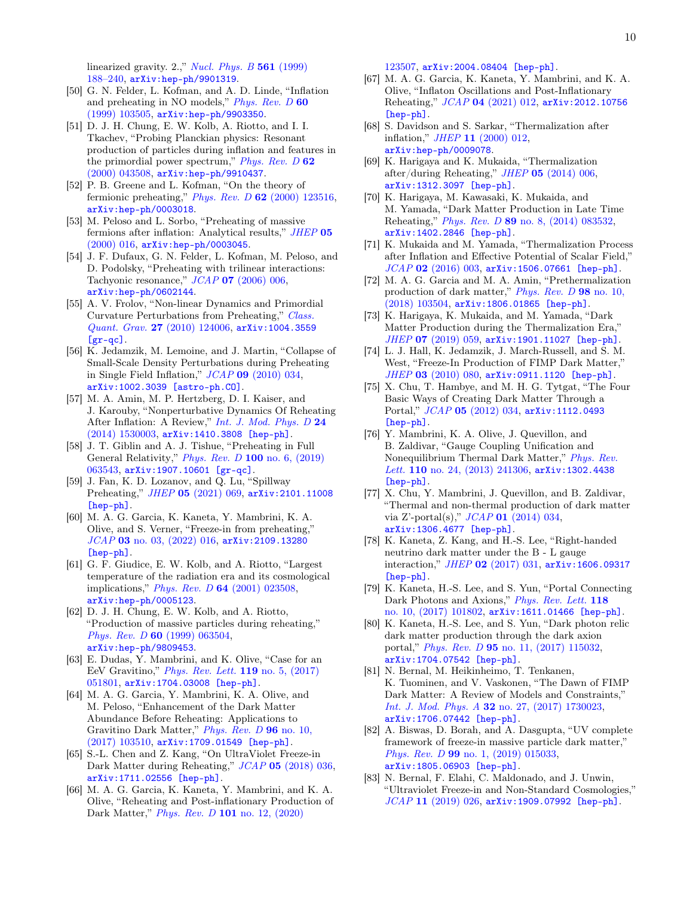linearized gravity.  $2$ .," *[Nucl. Phys. B](http://dx.doi.org/10.1016/S0550-3213(99)00495-2)* 561 (1999) [188–240,](http://dx.doi.org/10.1016/S0550-3213(99)00495-2) [arXiv:hep-ph/9901319](http://arxiv.org/abs/hep-ph/9901319).

- [50] G. N. Felder, L. Kofman, and A. D. Linde, "Inflation and preheating in NO models," [Phys. Rev. D](http://dx.doi.org/10.1103/PhysRevD.60.103505) 60 [\(1999\) 103505,](http://dx.doi.org/10.1103/PhysRevD.60.103505) [arXiv:hep-ph/9903350](http://arxiv.org/abs/hep-ph/9903350).
- [51] D. J. H. Chung, E. W. Kolb, A. Riotto, and I. I. Tkachev, "Probing Planckian physics: Resonant production of particles during inflation and features in the primordial power spectrum," *[Phys. Rev. D](http://dx.doi.org/10.1103/PhysRevD.62.043508)*  $62$ [\(2000\) 043508,](http://dx.doi.org/10.1103/PhysRevD.62.043508) [arXiv:hep-ph/9910437](http://arxiv.org/abs/hep-ph/9910437).
- [52] P. B. Greene and L. Kofman, "On the theory of fermionic preheating," Phys. Rev. D  $62$  [\(2000\) 123516,](http://dx.doi.org/10.1103/PhysRevD.62.123516) [arXiv:hep-ph/0003018](http://arxiv.org/abs/hep-ph/0003018).
- [53] M. Peloso and L. Sorbo, "Preheating of massive fermions after inflation: Analytical results," [JHEP](http://dx.doi.org/10.1088/1126-6708/2000/05/016) 05  $(2000)$  016,  $arXiv:hep-ph/0003045$ .
- [54] J. F. Dufaux, G. N. Felder, L. Kofman, M. Peloso, and D. Podolsky, "Preheating with trilinear interactions: Tachyonic resonance," JCAP 07 [\(2006\) 006,](http://dx.doi.org/10.1088/1475-7516/2006/07/006) [arXiv:hep-ph/0602144](http://arxiv.org/abs/hep-ph/0602144).
- [55] A. V. Frolov, "Non-linear Dynamics and Primordial Curvature Perturbations from Preheating," [Class.](http://dx.doi.org/10.1088/0264-9381/27/12/124006) Quant. Grav. 27 [\(2010\) 124006,](http://dx.doi.org/10.1088/0264-9381/27/12/124006) [arXiv:1004.3559](http://arxiv.org/abs/1004.3559)  $[gr-qc]$ .
- [56] K. Jedamzik, M. Lemoine, and J. Martin, "Collapse of Small-Scale Density Perturbations during Preheating in Single Field Inflation," JCAP 09 [\(2010\) 034,](http://dx.doi.org/10.1088/1475-7516/2010/09/034) [arXiv:1002.3039 \[astro-ph.CO\]](http://arxiv.org/abs/1002.3039).
- [57] M. A. Amin, M. P. Hertzberg, D. I. Kaiser, and J. Karouby, "Nonperturbative Dynamics Of Reheating After Inflation: A Review," [Int. J. Mod. Phys. D](http://dx.doi.org/10.1142/S0218271815300037) 24 [\(2014\) 1530003,](http://dx.doi.org/10.1142/S0218271815300037) [arXiv:1410.3808 \[hep-ph\]](http://arxiv.org/abs/1410.3808).
- [58] J. T. Giblin and A. J. Tishue, "Preheating in Full General Relativity," [Phys. Rev. D](http://dx.doi.org/10.1103/PhysRevD.100.063543) 100 no. 6, (2019) [063543,](http://dx.doi.org/10.1103/PhysRevD.100.063543) [arXiv:1907.10601 \[gr-qc\]](http://arxiv.org/abs/1907.10601).
- [59] J. Fan, K. D. Lozanov, and Q. Lu, "Spillway Preheating," JHEP 05 [\(2021\) 069,](http://dx.doi.org/10.1007/JHEP05(2021)069) [arXiv:2101.11008](http://arxiv.org/abs/2101.11008) [\[hep-ph\]](http://arxiv.org/abs/2101.11008).
- <span id="page-9-2"></span>[60] M. A. G. Garcia, K. Kaneta, Y. Mambrini, K. A. Olive, and S. Verner, "Freeze-in from preheating," JCAP 03 [no. 03, \(2022\) 016,](http://dx.doi.org/10.1088/1475-7516/2022/03/016) arXiv: 2109.13280 [\[hep-ph\]](http://arxiv.org/abs/2109.13280).
- <span id="page-9-0"></span>[61] G. F. Giudice, E. W. Kolb, and A. Riotto, "Largest temperature of the radiation era and its cosmological implications," Phys. Rev. D 64 [\(2001\) 023508,](http://dx.doi.org/10.1103/PhysRevD.64.023508) [arXiv:hep-ph/0005123](http://arxiv.org/abs/hep-ph/0005123).
- [62] D. J. H. Chung, E. W. Kolb, and A. Riotto, "Production of massive particles during reheating," Phys. Rev. D 60 [\(1999\) 063504,](http://dx.doi.org/10.1103/PhysRevD.60.063504) [arXiv:hep-ph/9809453](http://arxiv.org/abs/hep-ph/9809453).
- [63] E. Dudas, Y. Mambrini, and K. Olive, "Case for an EeV Gravitino," [Phys. Rev. Lett.](http://dx.doi.org/10.1103/PhysRevLett.119.051801) 119 no. 5, (2017) [051801,](http://dx.doi.org/10.1103/PhysRevLett.119.051801) [arXiv:1704.03008 \[hep-ph\]](http://arxiv.org/abs/1704.03008).
- [64] M. A. G. Garcia, Y. Mambrini, K. A. Olive, and M. Peloso, "Enhancement of the Dark Matter Abundance Before Reheating: Applications to Gravitino Dark Matter," [Phys. Rev. D](http://dx.doi.org/10.1103/PhysRevD.96.103510) 96 no. 10, [\(2017\) 103510,](http://dx.doi.org/10.1103/PhysRevD.96.103510) [arXiv:1709.01549 \[hep-ph\]](http://arxiv.org/abs/1709.01549).
- <span id="page-9-1"></span>[65] S.-L. Chen and Z. Kang, "On UltraViolet Freeze-in Dark Matter during Reheating," JCAP 05 [\(2018\) 036,](http://dx.doi.org/10.1088/1475-7516/2018/05/036) [arXiv:1711.02556 \[hep-ph\]](http://arxiv.org/abs/1711.02556).
- <span id="page-9-3"></span>[66] M. A. G. Garcia, K. Kaneta, Y. Mambrini, and K. A. Olive, "Reheating and Post-inflationary Production of Dark Matter," *Phys. Rev. D* 101 [no. 12, \(2020\)](http://dx.doi.org/10.1103/PhysRevD.101.123507)

[123507,](http://dx.doi.org/10.1103/PhysRevD.101.123507) [arXiv:2004.08404 \[hep-ph\]](http://arxiv.org/abs/2004.08404).

- <span id="page-9-4"></span>[67] M. A. G. Garcia, K. Kaneta, Y. Mambrini, and K. A. Olive, "Inflaton Oscillations and Post-Inflationary Reheating," JCAP 04 [\(2021\) 012,](http://dx.doi.org/10.1088/1475-7516/2021/04/012) [arXiv:2012.10756](http://arxiv.org/abs/2012.10756) [\[hep-ph\]](http://arxiv.org/abs/2012.10756).
- <span id="page-9-5"></span>[68] S. Davidson and S. Sarkar, "Thermalization after inflation," JHEP 11 [\(2000\) 012,](http://dx.doi.org/10.1088/1126-6708/2000/11/012) [arXiv:hep-ph/0009078](http://arxiv.org/abs/hep-ph/0009078).
- [69] K. Harigaya and K. Mukaida, "Thermalization after/during Reheating,"  $JHEP$  05 [\(2014\) 006,](http://dx.doi.org/10.1007/JHEP05(2014)006) [arXiv:1312.3097 \[hep-ph\]](http://arxiv.org/abs/1312.3097).
- [70] K. Harigaya, M. Kawasaki, K. Mukaida, and M. Yamada, "Dark Matter Production in Late Time Reheating," Phys. Rev. D 89 [no. 8, \(2014\) 083532,](http://dx.doi.org/10.1103/PhysRevD.89.083532) [arXiv:1402.2846 \[hep-ph\]](http://arxiv.org/abs/1402.2846).
- [71] K. Mukaida and M. Yamada, "Thermalization Process after Inflation and Effective Potential of Scalar Field,"  $JCAP$  02 [\(2016\) 003,](http://dx.doi.org/10.1088/1475-7516/2016/02/003) [arXiv:1506.07661 \[hep-ph\]](http://arxiv.org/abs/1506.07661).
- <span id="page-9-8"></span>[72] M. A. G. Garcia and M. A. Amin, "Prethermalization production of dark matter," [Phys. Rev. D](http://dx.doi.org/10.1103/PhysRevD.98.103504) 98 no. 10,  $(2018)$  103504, [arXiv:1806.01865 \[hep-ph\]](http://arxiv.org/abs/1806.01865).
- <span id="page-9-6"></span>[73] K. Harigaya, K. Mukaida, and M. Yamada, "Dark Matter Production during the Thermalization Era," JHEP 07 [\(2019\) 059,](http://dx.doi.org/10.1007/JHEP07(2019)059) [arXiv:1901.11027 \[hep-ph\]](http://arxiv.org/abs/1901.11027).
- <span id="page-9-7"></span>[74] L. J. Hall, K. Jedamzik, J. March-Russell, and S. M. West, "Freeze-In Production of FIMP Dark Matter," JHEP 03 [\(2010\) 080,](http://dx.doi.org/10.1007/JHEP03(2010)080) [arXiv:0911.1120 \[hep-ph\]](http://arxiv.org/abs/0911.1120).
- [75] X. Chu, T. Hambye, and M. H. G. Tytgat, "The Four Basic Ways of Creating Dark Matter Through a Portal," JCAP 05 [\(2012\) 034,](http://dx.doi.org/10.1088/1475-7516/2012/05/034) [arXiv:1112.0493](http://arxiv.org/abs/1112.0493) [\[hep-ph\]](http://arxiv.org/abs/1112.0493).
- [76] Y. Mambrini, K. A. Olive, J. Quevillon, and B. Zaldivar, "Gauge Coupling Unification and Nonequilibrium Thermal Dark Matter," [Phys. Rev.](http://dx.doi.org/10.1103/PhysRevLett.110.241306) Lett. 110 [no. 24, \(2013\) 241306,](http://dx.doi.org/10.1103/PhysRevLett.110.241306) arXiv: 1302.4438 [\[hep-ph\]](http://arxiv.org/abs/1302.4438).
- [77] X. Chu, Y. Mambrini, J. Quevillon, and B. Zaldivar, "Thermal and non-thermal production of dark matter via Z'-portal(s),"  $JCAP$  01 [\(2014\) 034,](http://dx.doi.org/10.1088/1475-7516/2014/01/034) [arXiv:1306.4677 \[hep-ph\]](http://arxiv.org/abs/1306.4677).
- [78] K. Kaneta, Z. Kang, and H.-S. Lee, "Right-handed neutrino dark matter under the B - L gauge interaction," JHEP 02 [\(2017\) 031,](http://dx.doi.org/10.1007/JHEP02(2017)031) [arXiv:1606.09317](http://arxiv.org/abs/1606.09317) [\[hep-ph\]](http://arxiv.org/abs/1606.09317).
- [79] K. Kaneta, H.-S. Lee, and S. Yun, "Portal Connecting Dark Photons and Axions," [Phys. Rev. Lett.](http://dx.doi.org/10.1103/PhysRevLett.118.101802) 118 [no. 10, \(2017\) 101802,](http://dx.doi.org/10.1103/PhysRevLett.118.101802) [arXiv:1611.01466 \[hep-ph\]](http://arxiv.org/abs/1611.01466).
- [80] K. Kaneta, H.-S. Lee, and S. Yun, "Dark photon relic dark matter production through the dark axion portal," Phys. Rev. D 95 [no. 11, \(2017\) 115032,](http://dx.doi.org/10.1103/PhysRevD.95.115032) [arXiv:1704.07542 \[hep-ph\]](http://arxiv.org/abs/1704.07542).
- [81] N. Bernal, M. Heikinheimo, T. Tenkanen, K. Tuominen, and V. Vaskonen, "The Dawn of FIMP Dark Matter: A Review of Models and Constraints," Int. J. Mod. Phys. A 32 [no. 27, \(2017\) 1730023,](http://dx.doi.org/10.1142/S0217751X1730023X) [arXiv:1706.07442 \[hep-ph\]](http://arxiv.org/abs/1706.07442).
- [82] A. Biswas, D. Borah, and A. Dasgupta, "UV complete framework of freeze-in massive particle dark matter," Phys. Rev. D 99 [no. 1, \(2019\) 015033,](http://dx.doi.org/10.1103/PhysRevD.99.015033) [arXiv:1805.06903 \[hep-ph\]](http://arxiv.org/abs/1805.06903).
- [83] N. Bernal, F. Elahi, C. Maldonado, and J. Unwin, "Ultraviolet Freeze-in and Non-Standard Cosmologies," JCAP 11 [\(2019\) 026,](http://dx.doi.org/10.1088/1475-7516/2019/11/026) [arXiv:1909.07992 \[hep-ph\]](http://arxiv.org/abs/1909.07992).